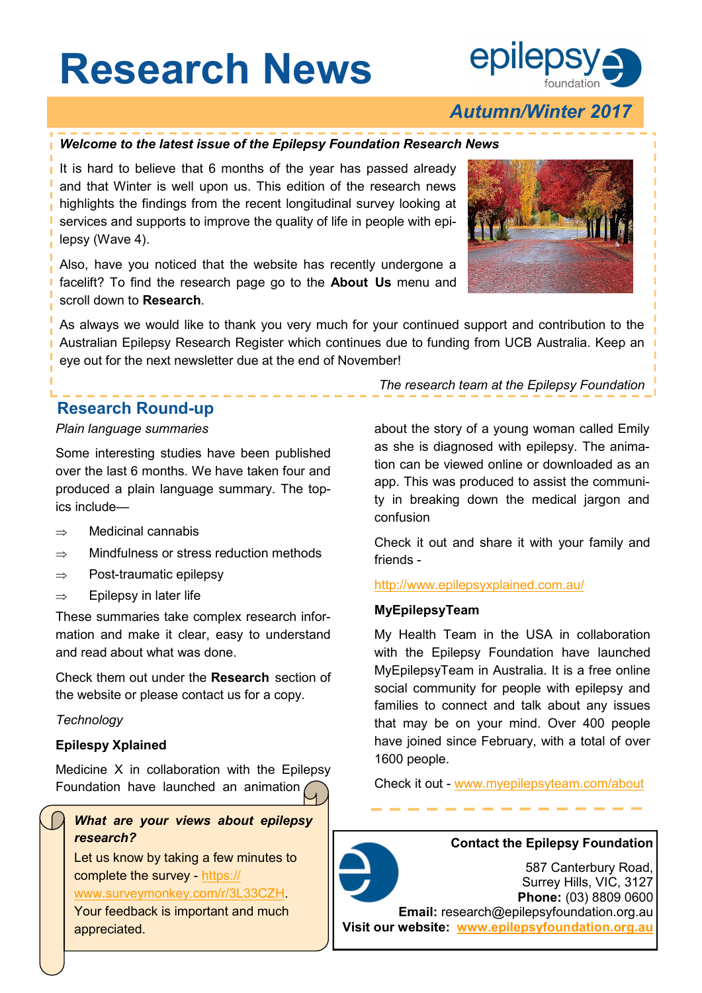# **Research News**



## *Autumn/Winter 2017*

#### *Welcome to the latest issue of the Epilepsy Foundation Research News*

It is hard to believe that 6 months of the year has passed already and that Winter is well upon us. This edition of the research news highlights the findings from the recent longitudinal survey looking at services and supports to improve the quality of life in people with epilepsy (Wave 4).

Also, have you noticed that the website has recently undergone a facelift? To find the research page go to the **About Us** menu and scroll down to **Research**.



As always we would like to thank you very much for your continued support and contribution to the Australian Epilepsy Research Register which continues due to funding from UCB Australia. Keep an eye out for the next newsletter due at the end of November!

### **Research Round-up**

#### *Plain language summaries*

Some interesting studies have been published over the last 6 months. We have taken four and produced a plain language summary. The topics include—

- $\Rightarrow$  Medicinal cannabis
- $\Rightarrow$  Mindfulness or stress reduction methods
- $\Rightarrow$  Post-traumatic epilepsy
- $\Rightarrow$  Epilepsy in later life

These summaries take complex research information and make it clear, easy to understand and read about what was done.

Check them out under the **Research** section of the website or please contact us for a copy.

#### *Technology*

#### **Epilespy Xplained**

Medicine X in collaboration with the Epilepsy Foundation have launched an animation

*What are your views about epilepsy research?* 

Let us know by taking a few minutes to complete the survey - [https://](https://www.surveymonkey.com/r/3L33CZH)

#### [www.surveymonkey.com/r/3L33CZH.](https://www.surveymonkey.com/r/3L33CZH)

Your feedback is important and much appreciated.

*The research team at the Epilepsy Foundation*

about the story of a young woman called Emily as she is diagnosed with epilepsy. The animation can be viewed online or downloaded as an app. This was produced to assist the community in breaking down the medical jargon and confusion

Check it out and share it with your family and friends -

#### <http://www.epilepsyxplained.com.au/>

#### **MyEpilepsyTeam**

My Health Team in the USA in collaboration with the Epilepsy Foundation have launched MyEpilepsyTeam in Australia. It is a free online social community for people with epilepsy and families to connect and talk about any issues that may be on your mind. Over 400 people have joined since February, with a total of over 1600 people.

Check it out - [www.myepilepsyteam.com/about](https://www.myepilepsyteam.com/about)

#### **Contact the Epilepsy Foundation**

587 Canterbury Road, Surrey Hills, VIC, 3127 **Phone:** (03) 8809 0600 **Email:** research@epilepsyfoundation.org.au **Visit our website: [www.epilepsyfoundation.org.au](http://www.epilepsyfoundation.org.au)**